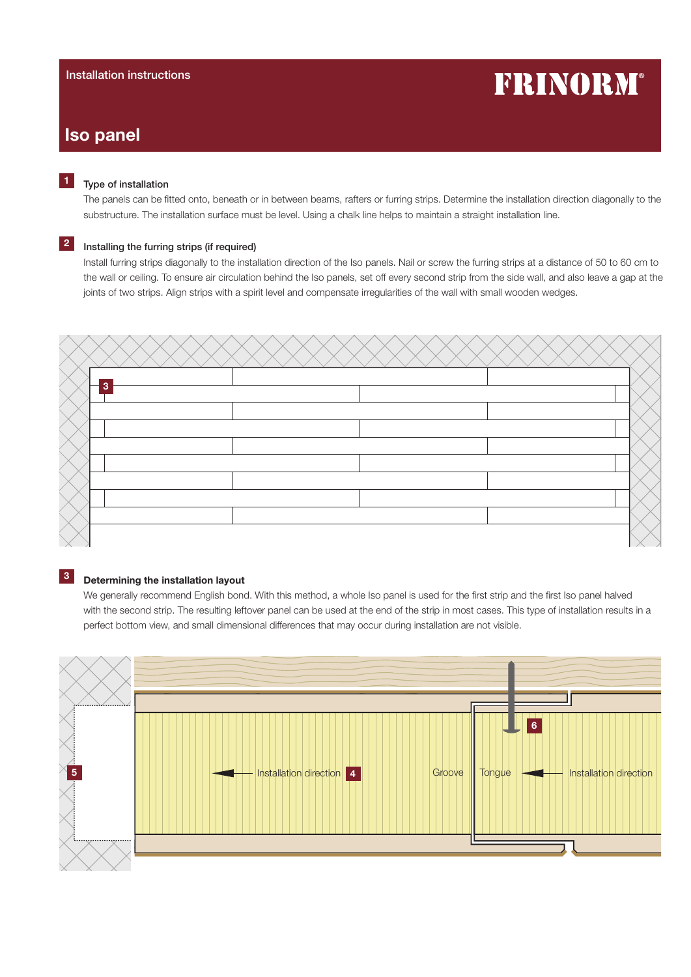# FRINORM®

# Iso panel

## Type of installation

The panels can be fitted onto, beneath or in between beams, rafters or furring strips. Determine the installation direction diagonally to the substructure. The installation surface must be level. Using a chalk line helps to maintain a straight installation line.

# <sup>2</sup> Installing the furring strips (if required)

Install furring strips diagonally to the installation direction of the Iso panels. Nail or screw the furring strips at a distance of 50 to 60 cm to the wall or ceiling. To ensure air circulation behind the Iso panels, set off every second strip from the side wall, and also leave a gap at the joints of two strips. Align strips with a spirit level and compensate irregularities of the wall with small wooden wedges.



# **3** Determining the installation layout

We generally recommend English bond. With this method, a whole Iso panel is used for the first strip and the first Iso panel halved with the second strip. The resulting leftover panel can be used at the end of the strip in most cases. This type of installation results in a perfect bottom view, and small dimensional differences that may occur during installation are not visible.